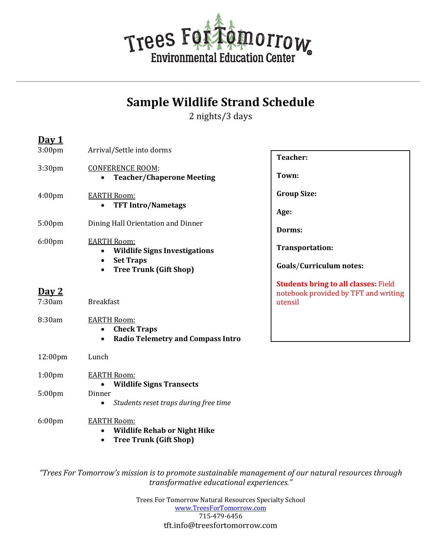

## **Sample Wildlife Strand Schedule**

2 nights/3 days

**D**<sub>22</sub><sup>1</sup>

| <u>иау т</u>       |                                                                                                                |                                                                                                |
|--------------------|----------------------------------------------------------------------------------------------------------------|------------------------------------------------------------------------------------------------|
| 3:00pm             | Arrival/Settle into dorms                                                                                      | <b>Teacher:</b>                                                                                |
| 3:30pm             | <b>CONFERENCE ROOM:</b><br><b>Teacher/Chaperone Meeting</b><br>$\bullet$                                       | Town:                                                                                          |
| 4:00 <sub>pm</sub> | <b>EARTH Room:</b><br><b>TFT Intro/Nametags</b><br>$\bullet$                                                   | <b>Group Size:</b><br>Age:                                                                     |
| 5:00pm             | Dining Hall Orientation and Dinner                                                                             | Dorms:                                                                                         |
| 6:00 <sub>pm</sub> | <b>EARTH Room:</b><br><b>Wildlife Signs Investigations</b><br>٠                                                | Transportation:                                                                                |
|                    | <b>Set Traps</b><br>$\bullet$<br><b>Tree Trunk (Gift Shop)</b><br>$\bullet$                                    | <b>Goals/Curriculum notes:</b>                                                                 |
| Day 2<br>7:30am    | <b>Breakfast</b>                                                                                               | <b>Students bring to all classes: Field</b><br>notebook provided by TFT and writing<br>utensil |
| 8:30am             | <b>EARTH Room:</b><br><b>Check Traps</b><br>$\bullet$<br><b>Radio Telemetry and Compass Intro</b><br>$\bullet$ |                                                                                                |
| 12:00pm            | Lunch                                                                                                          |                                                                                                |
| 1:00 <sub>pm</sub> | <b>EARTH Room:</b><br><b>Wildlife Signs Transects</b>                                                          |                                                                                                |
| 5:00pm             | Dinner<br>Students reset traps during free time<br>$\bullet$                                                   |                                                                                                |
| 6:00 <sub>pm</sub> | <b>EARTH Room:</b><br><b>Wildlife Rehab or Night Hike</b><br>٠<br><b>Tree Trunk (Gift Shop)</b><br>$\bullet$   |                                                                                                |

"Trees For Tomorrow's mission is to promote sustainable management of our natural resources through *transformative educational experiences."*

> Trees For Tomorrow Natural Resources Specialty School www.TreesForTomorrow.com 715-479-6456 tft.info@treesfortomorrow.com